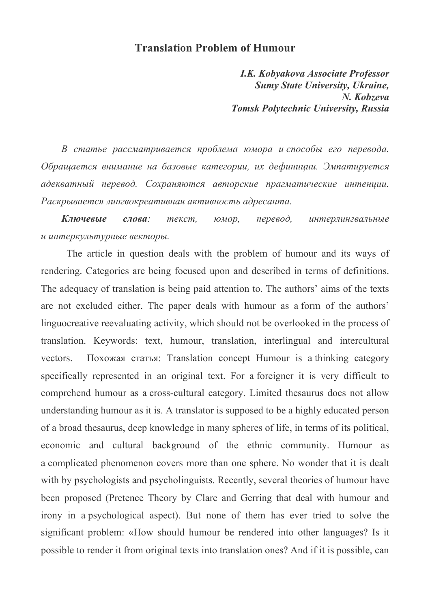## **Translation Problem of Humour**

*I.K. Kobyakova Associate Professor Sumy State University, Ukraine, N. Kobzeva Tomsk Polytechnic University, Russia* 

*В статье рассматривается проблема юмора и способы его перевода. Обращается внимание на базовые категории, их дефиниции. Эмпатируется адекватный перевод. Сохраняются авторские прагматические интенции. Раскрывается лингвокреативная активность адресанта.* 

*Ключевые слова: текст, юмор, перевод, интерлингвальные и интеркультурные векторы.* 

The article in question deals with the problem of humour and its ways of rendering. Categories are being focused upon and described in terms of definitions. The adequacy of translation is being paid attention to. The authors' aims of the texts are not excluded either. The paper deals with humour as a form of the authors' linguocreative reevaluating activity, which should not be overlooked in the process of translation. Keywords: text, humour, translation, interlingual and intercultural vectors. Похожая статья: Translation concept Humour is a thinking category specifically represented in an original text. For a foreigner it is very difficult to comprehend humour as a cross-cultural category. Limited thesaurus does not allow understanding humour as it is. A translator is supposed to be a highly educated person of a broad thesaurus, deep knowledge in many spheres of life, in terms of its political, economic and cultural background of the ethnic community. Humour as a complicated phenomenon covers more than one sphere. No wonder that it is dealt with by psychologists and psycholinguists. Recently, several theories of humour have been proposed (Pretence Theory by Clarc and Gerring that deal with humour and irony in a psychological aspect). But none of them has ever tried to solve the significant problem: «How should humour be rendered into other languages? Is it possible to render it from original texts into translation ones? And if it is possible, can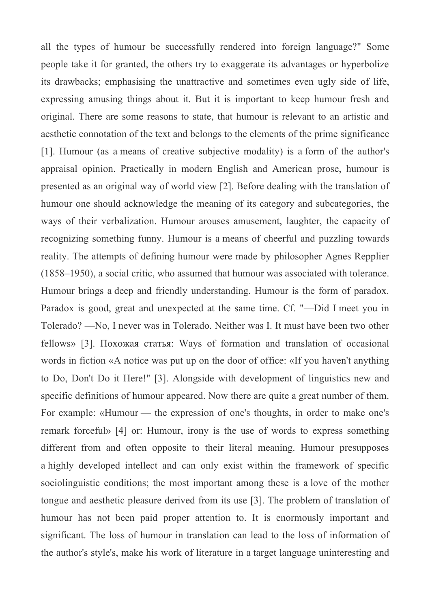all the types of humour be successfully rendered into foreign language?" Some people take it for granted, the others try to exaggerate its advantages or hyperbolize its drawbacks; emphasising the unattractive and sometimes even ugly side of life, expressing amusing things about it. But it is important to keep humour fresh and original. There are some reasons to state, that humour is relevant to an artistic and aesthetic connotation of the text and belongs to the elements of the prime significance [1]. Humour (as a means of creative subjective modality) is a form of the author's appraisal opinion. Practically in modern English and American prose, humour is presented as an original way of world view [2]. Before dealing with the translation of humour one should acknowledge the meaning of its category and subcategories, the ways of their verbalization. Humour arouses amusement, laughter, the capacity of recognizing something funny. Humour is a means of cheerful and puzzling towards reality. The attempts of defining humour were made by philosopher Agnes Repplier (1858–1950), a social critic, who assumed that humour was associated with tolerance. Humour brings a deep and friendly understanding. Humour is the form of paradox. Paradox is good, great and unexpected at the same time. Cf. "—Did I meet you in Tolerado? —No, I never was in Tolerado. Neither was I. It must have been two other fellows» [3]. Похожая статья: Ways of formation and translation of occasional words in fiction «A notice was put up on the door of office: «If you haven't anything to Do, Don't Do it Here!" [3]. Alongside with development of linguistics new and specific definitions of humour appeared. Now there are quite a great number of them. For example: «Humour — the expression of one's thoughts, in order to make one's remark forceful» [4] or: Humour, irony is the use of words to express something different from and often opposite to their literal meaning. Humour presupposes a highly developed intellect and can only exist within the framework of specific sociolinguistic conditions; the most important among these is a love of the mother tongue and aesthetic pleasure derived from its use [3]. The problem of translation of humour has not been paid proper attention to. It is enormously important and significant. The loss of humour in translation can lead to the loss of information of the author's style's, make his work of literature in a target language uninteresting and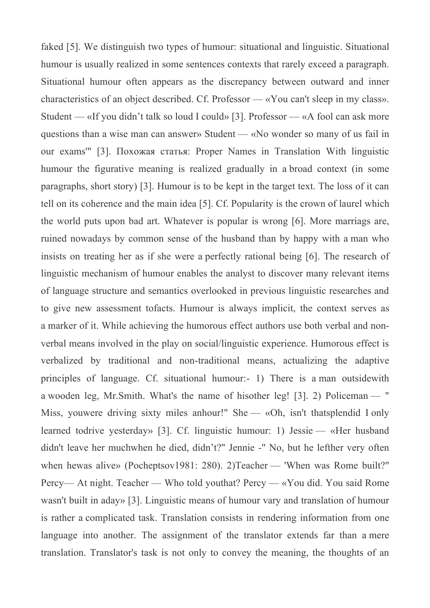faked [5]. We distinguish two types of humour: situational and linguistic. Situational humour is usually realized in some sentences contexts that rarely exceed a paragraph. Situational humour often appears as the discrepancy between outward and inner characteristics of an object described. Cf. Professor — «You can't sleep in my class». Student — «If you didn't talk so loud I could» [3]. Professor — «A fool can ask more questions than a wise man can answer» Student — «No wonder so many of us fail in our exams'" [3]. Похожая статья: Proper Names in Translation With linguistic humour the figurative meaning is realized gradually in a broad context (in some paragraphs, short story) [3]. Humour is to be kept in the target text. The loss of it can tell on its coherence and the main idea [5]. Cf. Popularity is the crown of laurel which the world puts upon bad art. Whatever is popular is wrong [6]. More marriags are, ruined nowadays by common sense of the husband than by happy with a man who insists on treating her as if she were a perfectly rational being [6]. The research of linguistic mechanism of humour enables the analyst to discover many relevant items of language structure and semantics overlooked in previous linguistic researches and to give new assessment tofacts. Humour is always implicit, the context serves as a marker of it. While achieving the humorous effect authors use both verbal and nonverbal means involved in the play on social/linguistic experience. Humorous effect is verbalized by traditional and non-traditional means, actualizing the adaptive principles of language. Cf. situational humour:- 1) There is a man outsidewith a wooden leg, Mr.Smith. What's the name of hisother leg! [3]. 2) Policeman — " Miss, youwere driving sixty miles anhour!" She — «Oh, isn't thatsplendid I only learned todrive yesterday» [3]. Cf. linguistic humour: 1) Jessie — «Her husband didn't leave her muchwhen he died, didn't?" Jennie -" No, but he lefther very often when hewas alive» (Pocheptsov1981: 280). 2)Teacher — 'When was Rome built?" Percy— At night. Teacher — Who told youthat? Percy — «You did. You said Rome wasn't built in aday» [3]. Linguistic means of humour vary and translation of humour is rather a complicated task. Translation consists in rendering information from one language into another. The assignment of the translator extends far than a mere translation. Translator's task is not only to convey the meaning, the thoughts of an